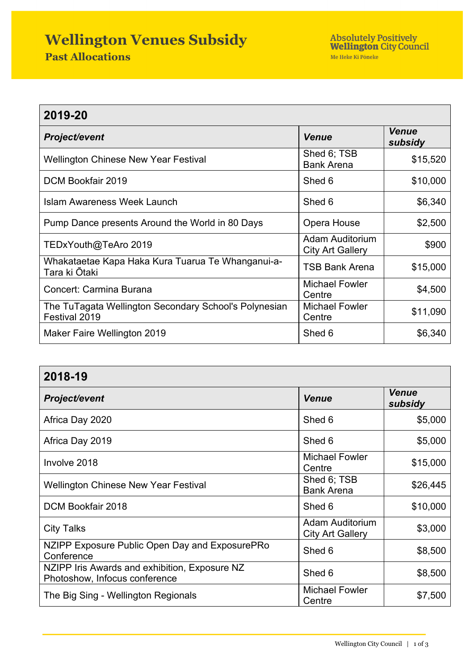## **Wellington Venues Subsidy**

| 2019-20                                                                |                                                   |                         |  |
|------------------------------------------------------------------------|---------------------------------------------------|-------------------------|--|
| <b>Project/event</b>                                                   | <b>Venue</b>                                      | <b>Venue</b><br>subsidy |  |
| <b>Wellington Chinese New Year Festival</b>                            | Shed 6; TSB<br><b>Bank Arena</b>                  | \$15,520                |  |
| DCM Bookfair 2019                                                      | Shed 6                                            | \$10,000                |  |
| Islam Awareness Week Launch                                            | Shed 6                                            | \$6,340                 |  |
| Pump Dance presents Around the World in 80 Days                        | Opera House                                       | \$2,500                 |  |
| TEDxYouth@TeAro 2019                                                   | <b>Adam Auditorium</b><br><b>City Art Gallery</b> | \$900                   |  |
| Whakataetae Kapa Haka Kura Tuarua Te Whanganui-a-<br>Tara ki Ōtaki     | <b>TSB Bank Arena</b>                             | \$15,000                |  |
| Concert: Carmina Burana                                                | <b>Michael Fowler</b><br>Centre                   | \$4,500                 |  |
| The TuTagata Wellington Secondary School's Polynesian<br>Festival 2019 | <b>Michael Fowler</b><br>Centre                   | \$11,090                |  |
| Maker Faire Wellington 2019                                            | Shed 6                                            | \$6,340                 |  |

| 2018-19                                                                        |                                                   |                         |  |
|--------------------------------------------------------------------------------|---------------------------------------------------|-------------------------|--|
| <b>Project/event</b>                                                           | <b>Venue</b>                                      | <b>Venue</b><br>subsidy |  |
| Africa Day 2020                                                                | Shed 6                                            | \$5,000                 |  |
| Africa Day 2019                                                                | Shed 6                                            | \$5,000                 |  |
| Involve 2018                                                                   | <b>Michael Fowler</b><br>Centre                   | \$15,000                |  |
| <b>Wellington Chinese New Year Festival</b>                                    | Shed 6; TSB<br><b>Bank Arena</b>                  | \$26,445                |  |
| DCM Bookfair 2018                                                              | Shed 6                                            | \$10,000                |  |
| <b>City Talks</b>                                                              | <b>Adam Auditorium</b><br><b>City Art Gallery</b> | \$3,000                 |  |
| NZIPP Exposure Public Open Day and ExposurePRo<br>Conference                   | Shed 6                                            | \$8,500                 |  |
| NZIPP Iris Awards and exhibition, Exposure NZ<br>Photoshow, Infocus conference | Shed 6                                            | \$8,500                 |  |
| The Big Sing - Wellington Regionals                                            | <b>Michael Fowler</b><br>Centre                   | \$7,500                 |  |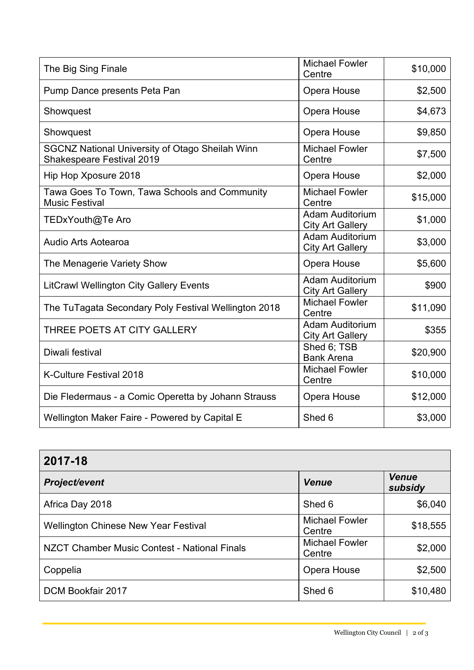| The Big Sing Finale                                                                        | <b>Michael Fowler</b><br>Centre                   | \$10,000 |
|--------------------------------------------------------------------------------------------|---------------------------------------------------|----------|
| Pump Dance presents Peta Pan                                                               | Opera House                                       | \$2,500  |
| Showquest                                                                                  | Opera House                                       | \$4,673  |
| Showquest                                                                                  | Opera House                                       | \$9,850  |
| <b>SGCNZ National University of Otago Sheilah Winn</b><br><b>Shakespeare Festival 2019</b> | <b>Michael Fowler</b><br>Centre                   | \$7,500  |
| Hip Hop Xposure 2018                                                                       | Opera House                                       | \$2,000  |
| Tawa Goes To Town, Tawa Schools and Community<br><b>Music Festival</b>                     | <b>Michael Fowler</b><br>Centre                   | \$15,000 |
| TEDxYouth@Te Aro                                                                           | <b>Adam Auditorium</b><br><b>City Art Gallery</b> | \$1,000  |
| <b>Audio Arts Aotearoa</b>                                                                 | <b>Adam Auditorium</b><br><b>City Art Gallery</b> | \$3,000  |
| The Menagerie Variety Show                                                                 | Opera House                                       | \$5,600  |
| <b>LitCrawl Wellington City Gallery Events</b>                                             | <b>Adam Auditorium</b><br><b>City Art Gallery</b> | \$900    |
| The TuTagata Secondary Poly Festival Wellington 2018                                       | <b>Michael Fowler</b><br>Centre                   | \$11,090 |
| THREE POETS AT CITY GALLERY                                                                | <b>Adam Auditorium</b><br><b>City Art Gallery</b> | \$355    |
| Diwali festival                                                                            | Shed 6; TSB<br><b>Bank Arena</b>                  | \$20,900 |
| <b>K-Culture Festival 2018</b>                                                             | <b>Michael Fowler</b><br>Centre                   | \$10,000 |
| Die Fledermaus - a Comic Operetta by Johann Strauss                                        | Opera House                                       | \$12,000 |
| Wellington Maker Faire - Powered by Capital E                                              | Shed 6                                            | \$3,000  |

| 2017-18                                      |                                 |                         |  |
|----------------------------------------------|---------------------------------|-------------------------|--|
| <b>Project/event</b>                         | <b>Venue</b>                    | <b>Venue</b><br>subsidy |  |
| Africa Day 2018                              | Shed 6                          | \$6,040                 |  |
| <b>Wellington Chinese New Year Festival</b>  | <b>Michael Fowler</b><br>Centre | \$18,555                |  |
| NZCT Chamber Music Contest - National Finals | <b>Michael Fowler</b><br>Centre | \$2,000                 |  |
| Coppelia                                     | Opera House                     | \$2,500                 |  |
| DCM Bookfair 2017                            | Shed 6                          | \$10,480                |  |